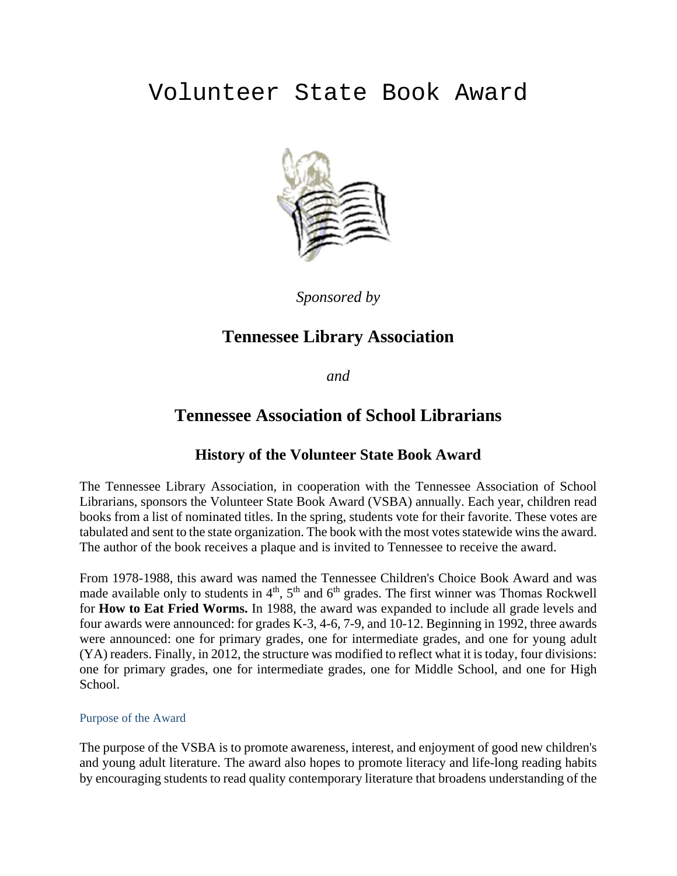# Volunteer State Book Award



*Sponsored by* 

## **Tennessee Library Association**

*and* 

## **Tennessee Association of School Librarians**

## **History of the Volunteer State Book Award**

The Tennessee Library Association, in cooperation with the Tennessee Association of School Librarians, sponsors the Volunteer State Book Award (VSBA) annually. Each year, children read books from a list of nominated titles. In the spring, students vote for their favorite. These votes are tabulated and sent to the state organization. The book with the most votes statewide wins the award. The author of the book receives a plaque and is invited to Tennessee to receive the award.

From 1978-1988, this award was named the Tennessee Children's Choice Book Award and was made available only to students in  $4<sup>th</sup>$ ,  $5<sup>th</sup>$  and  $6<sup>th</sup>$  grades. The first winner was Thomas Rockwell for **How to Eat Fried Worms.** In 1988, the award was expanded to include all grade levels and four awards were announced: for grades K-3, 4-6, 7-9, and 10-12. Beginning in 1992, three awards were announced: one for primary grades, one for intermediate grades, and one for young adult (YA) readers. Finally, in 2012, the structure was modified to reflect what it is today, four divisions: one for primary grades, one for intermediate grades, one for Middle School, and one for High School.

## Purpose of the Award

The purpose of the VSBA is to promote awareness, interest, and enjoyment of good new children's and young adult literature. The award also hopes to promote literacy and life-long reading habits by encouraging students to read quality contemporary literature that broadens understanding of the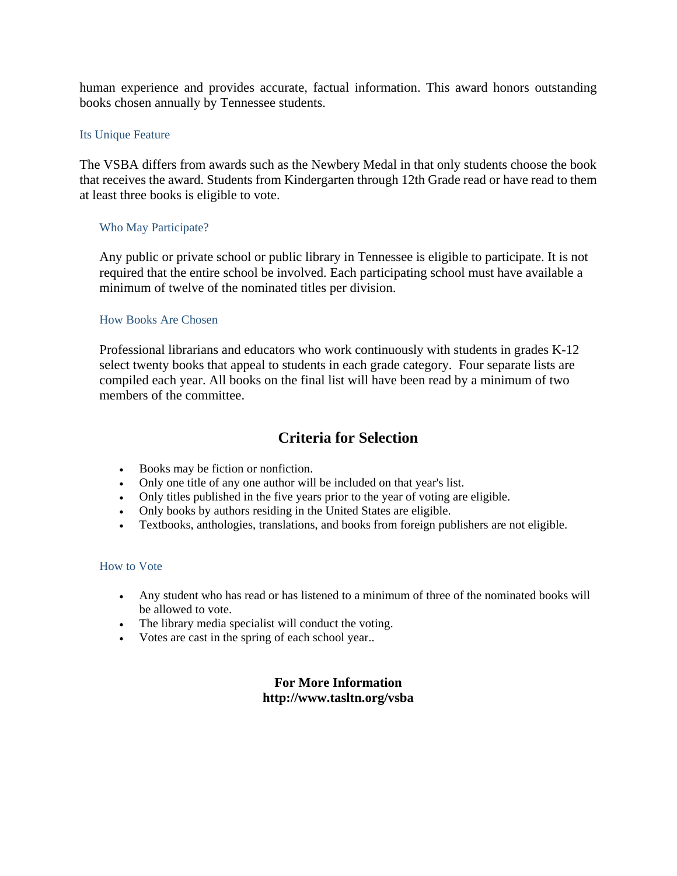human experience and provides accurate, factual information. This award honors outstanding books chosen annually by Tennessee students.

## Its Unique Feature

The VSBA differs from awards such as the Newbery Medal in that only students choose the book that receives the award. Students from Kindergarten through 12th Grade read or have read to them at least three books is eligible to vote.

## Who May Participate?

Any public or private school or public library in Tennessee is eligible to participate. It is not required that the entire school be involved. Each participating school must have available a minimum of twelve of the nominated titles per division.

## How Books Are Chosen

Professional librarians and educators who work continuously with students in grades K-12 select twenty books that appeal to students in each grade category. Four separate lists are compiled each year. All books on the final list will have been read by a minimum of two members of the committee.

## **Criteria for Selection**

- Books may be fiction or nonfiction.
- Only one title of any one author will be included on that year's list.
- Only titles published in the five years prior to the year of voting are eligible.
- Only books by authors residing in the United States are eligible.
- Textbooks, anthologies, translations, and books from foreign publishers are not eligible.

## How to Vote

- Any student who has read or has listened to a minimum of three of the nominated books will be allowed to vote.
- The library media specialist will conduct the voting.
- Votes are cast in the spring of each school year..

## **For More Information http://www.tasltn.org/vsba**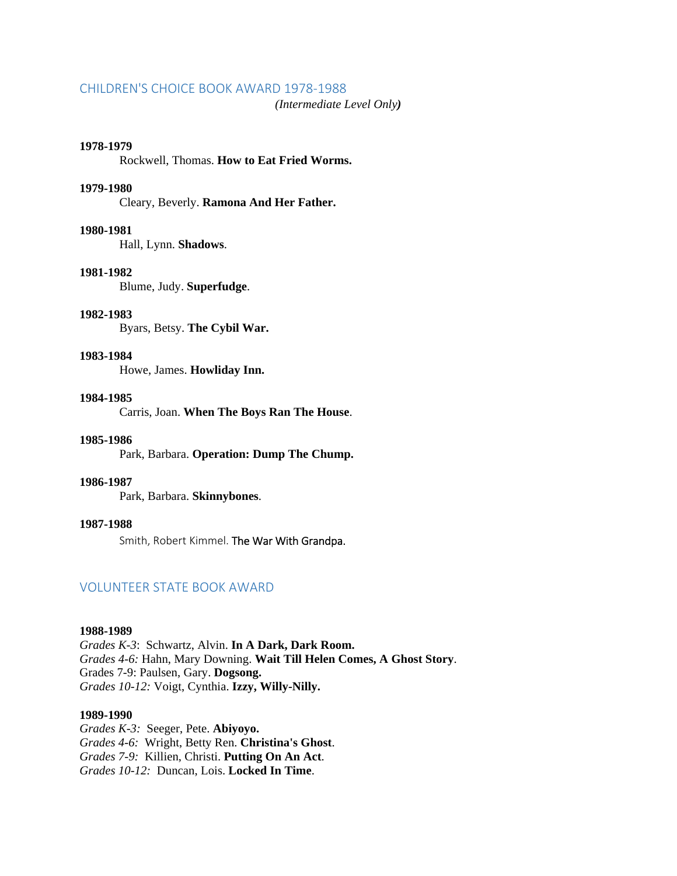#### CHILDREN'S CHOICE BOOK AWARD 1978‐1988

*(Intermediate Level Only)*

#### **1978-1979**

Rockwell, Thomas. **How to Eat Fried Worms.**

### **1979-1980**

Cleary, Beverly. **Ramona And Her Father.**

## **1980-1981**

Hall, Lynn. **Shadows**.

#### **1981-1982**

Blume, Judy. **Superfudge**.

## **1982-1983**

Byars, Betsy. **The Cybil War.**

#### **1983-1984**

Howe, James. **Howliday Inn.**

#### **1984-1985**

Carris, Joan. **When The Boys Ran The House**.

#### **1985-1986**

Park, Barbara. **Operation: Dump The Chump.**

#### **1986-1987**

Park, Barbara. **Skinnybones**.

## **1987-1988**

Smith, Robert Kimmel. The War With Grandpa.

### VOLUNTEER STATE BOOK AWARD

#### **1988-1989**

*Grades K-3*: Schwartz, Alvin. **In A Dark, Dark Room.** *Grades 4-6:* Hahn, Mary Downing. **Wait Till Helen Comes, A Ghost Story**. Grades 7-9: Paulsen, Gary. **Dogsong.** *Grades 10-12:* Voigt, Cynthia. **Izzy, Willy-Nilly.** 

#### **1989-1990**

*Grades K-3:* Seeger, Pete. **Abiyoyo.** *Grades 4-6:* Wright, Betty Ren. **Christina's Ghost**. *Grades 7-9:* Killien, Christi. **Putting On An Act**. *Grades 10-12:* Duncan, Lois. **Locked In Time**.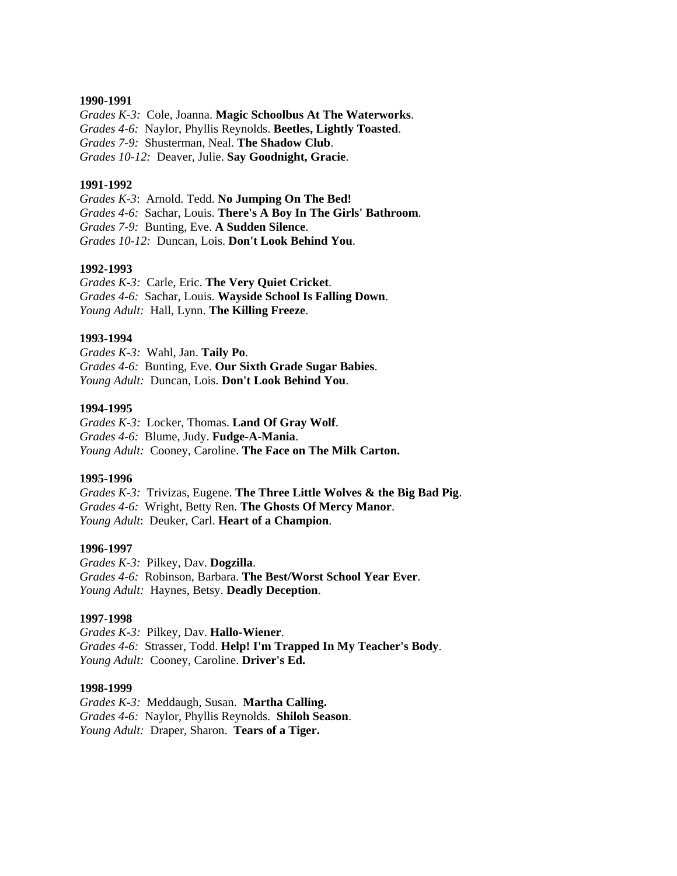#### **1990-1991**

*Grades K-3:* Cole, Joanna. **Magic Schoolbus At The Waterworks**. *Grades 4-6:* Naylor, Phyllis Reynolds. **Beetles, Lightly Toasted**. *Grades 7-9:* Shusterman, Neal. **The Shadow Club**. *Grades 10-12:* Deaver, Julie. **Say Goodnight, Gracie**.

#### **1991-1992**

*Grades K-3*: Arnold. Tedd. **No Jumping On The Bed!**  *Grades 4-6:* Sachar, Louis. **There's A Boy In The Girls' Bathroom**. *Grades 7-9:* Bunting, Eve. **A Sudden Silence**. *Grades 10-12:* Duncan, Lois. **Don't Look Behind You**.

#### **1992-1993**

*Grades K-3:* Carle, Eric. **The Very Quiet Cricket**. *Grades 4-6:* Sachar, Louis. **Wayside School Is Falling Down**. *Young Adult:* Hall, Lynn. **The Killing Freeze**.

#### **1993-1994**

*Grades K-3:* Wahl, Jan. **Taily Po**. *Grades 4-6:* Bunting, Eve. **Our Sixth Grade Sugar Babies**. *Young Adult:* Duncan, Lois. **Don't Look Behind You**.

#### **1994-1995**

*Grades K-3:* Locker, Thomas. **Land Of Gray Wolf**. *Grades 4-6:* Blume, Judy. **Fudge-A-Mania**. *Young Adult:* Cooney, Caroline. **The Face on The Milk Carton.** 

#### **1995-1996**

*Grades K-3:* Trivizas, Eugene. **The Three Little Wolves & the Big Bad Pig**. *Grades 4-6:* Wright, Betty Ren. **The Ghosts Of Mercy Manor**. *Young Adult*: Deuker, Carl. **Heart of a Champion**.

#### **1996-1997**

*Grades K-3:* Pilkey, Dav. **Dogzilla**. *Grades 4-6:* Robinson, Barbara. **The Best/Worst School Year Ever**. *Young Adult:* Haynes, Betsy. **Deadly Deception**.

#### **1997-1998**

*Grades K-3:* Pilkey, Dav. **Hallo-Wiener**. *Grades 4-6:* Strasser, Todd. **Help! I'm Trapped In My Teacher's Body**. *Young Adult:* Cooney, Caroline. **Driver's Ed.** 

#### **1998-1999**

*Grades K-3:* Meddaugh, Susan. **Martha Calling.** *Grades 4-6:* Naylor, Phyllis Reynolds. **Shiloh Season**. *Young Adult:* Draper, Sharon. **Tears of a Tiger.**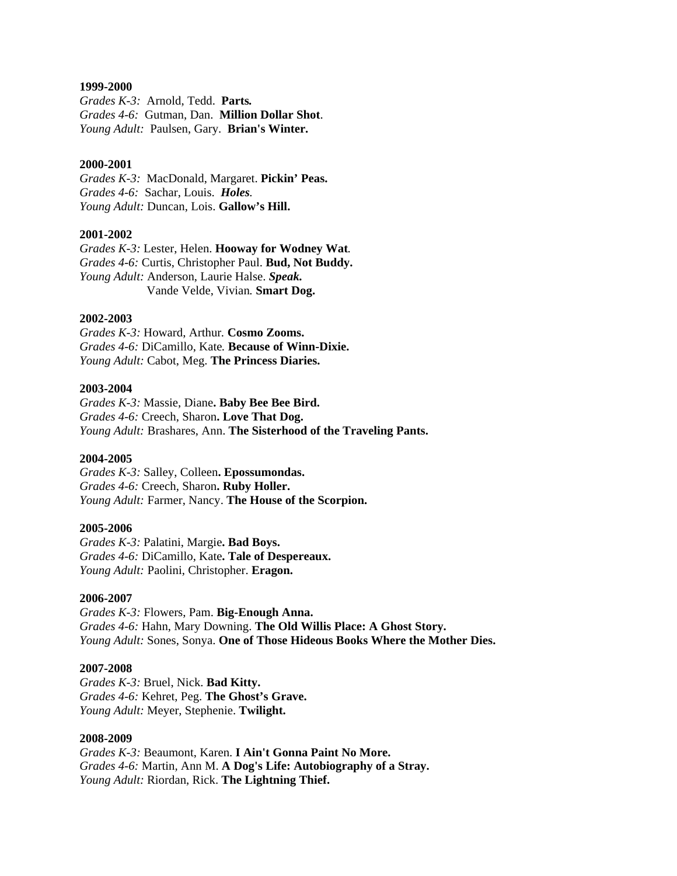#### **1999-2000**

*Grades K-3:* Arnold, Tedd. **Parts***. Grades 4-6:* Gutman, Dan. **Million Dollar Shot**. *Young Adult:* Paulsen, Gary. **Brian's Winter.**

## **2000-2001**

*Grades K-3:* MacDonald, Margaret. **Pickin' Peas.** *Grades 4-6:* Sachar, Louis. *Holes. Young Adult:* Duncan, Lois. **Gallow's Hill.**

#### **2001-2002**

*Grades K-3:* Lester, Helen. **Hooway for Wodney Wat***. Grades 4-6:* Curtis, Christopher Paul. **Bud, Not Buddy.** *Young Adult:* Anderson, Laurie Halse. *Speak.* Vande Velde, Vivian*.* **Smart Dog.**

#### **2002-2003**

*Grades K-3:* Howard, Arthur*.* **Cosmo Zooms.** *Grades 4-6:* DiCamillo, Kate*.* **Because of Winn-Dixie.** *Young Adult:* Cabot, Meg. **The Princess Diaries.**

#### **2003-2004**

*Grades K-3:* Massie, Diane**. Baby Bee Bee Bird.** *Grades 4-6:* Creech, Sharon**. Love That Dog.** *Young Adult:* Brashares, Ann. **The Sisterhood of the Traveling Pants.**

#### **2004-2005**

*Grades K-3:* Salley, Colleen**. Epossumondas.** *Grades 4-6:* Creech, Sharon**. Ruby Holler.** *Young Adult:* Farmer, Nancy. **The House of the Scorpion.** 

#### **2005-2006**

*Grades K-3:* Palatini, Margie**. Bad Boys.** *Grades 4-6:* DiCamillo, Kate**. Tale of Despereaux.** *Young Adult:* Paolini, Christopher. **Eragon.**

#### **2006-2007**

*Grades K-3:* Flowers, Pam. **Big-Enough Anna.** *Grades 4-6:* Hahn, Mary Downing. **The Old Willis Place: A Ghost Story.** *Young Adult:* Sones, Sonya. **One of Those Hideous Books Where the Mother Dies.** 

#### **2007-2008**

*Grades K-3:* Bruel, Nick. **Bad Kitty.** *Grades 4-6:* Kehret, Peg. **The Ghost's Grave.** *Young Adult:* Meyer, Stephenie. **Twilight.** 

#### **2008-2009**

*Grades K-3:* Beaumont, Karen. **I Ain't Gonna Paint No More.** *Grades 4-6:* Martin*,* Ann M. **A Dog's Life: Autobiography of a Stray.** *Young Adult:* Riordan, Rick. **The Lightning Thief.**